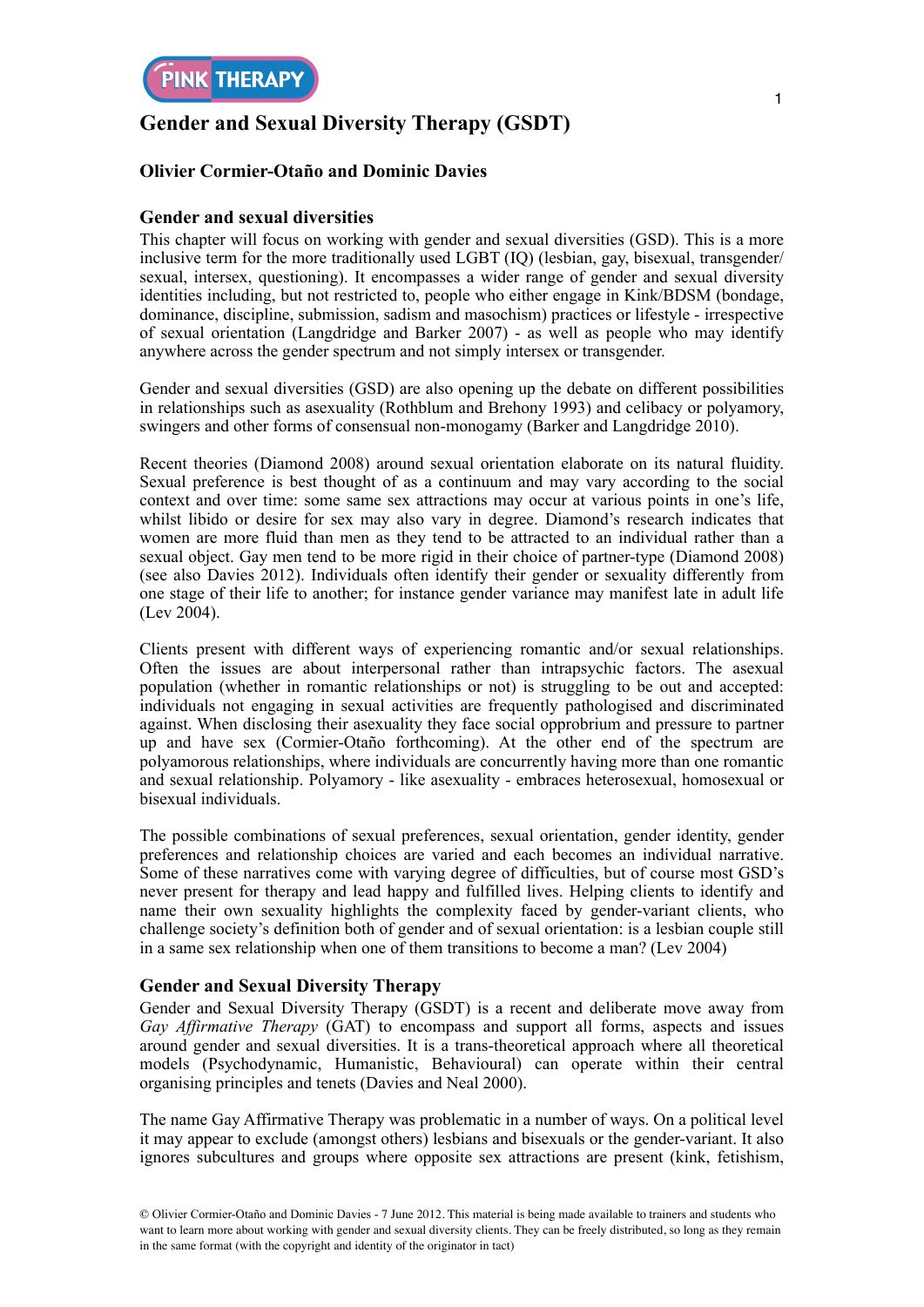# **Gender and Sexual Diversity Therapy (GSDT)**

## **Olivier Cormier-Otaño and Dominic Davies**

#### **Gender and sexual diversities**

This chapter will focus on working with gender and sexual diversities (GSD). This is a more inclusive term for the more traditionally used LGBT (IQ) (lesbian, gay, bisexual, transgender/ sexual, intersex, questioning). It encompasses a wider range of gender and sexual diversity identities including, but not restricted to, people who either engage in Kink/BDSM (bondage, dominance, discipline, submission, sadism and masochism) practices or lifestyle - irrespective of sexual orientation (Langdridge and Barker 2007) - as well as people who may identify anywhere across the gender spectrum and not simply intersex or transgender.

Gender and sexual diversities (GSD) are also opening up the debate on different possibilities in relationships such as asexuality (Rothblum and Brehony 1993) and celibacy or polyamory, swingers and other forms of consensual non-monogamy (Barker and Langdridge 2010).

Recent theories (Diamond 2008) around sexual orientation elaborate on its natural fluidity. Sexual preference is best thought of as a continuum and may vary according to the social context and over time: some same sex attractions may occur at various points in one's life, whilst libido or desire for sex may also vary in degree. Diamond's research indicates that women are more fluid than men as they tend to be attracted to an individual rather than a sexual object. Gay men tend to be more rigid in their choice of partner-type (Diamond 2008) (see also Davies 2012). Individuals often identify their gender or sexuality differently from one stage of their life to another; for instance gender variance may manifest late in adult life (Lev 2004).

Clients present with different ways of experiencing romantic and/or sexual relationships. Often the issues are about interpersonal rather than intrapsychic factors. The asexual population (whether in romantic relationships or not) is struggling to be out and accepted: individuals not engaging in sexual activities are frequently pathologised and discriminated against. When disclosing their asexuality they face social opprobrium and pressure to partner up and have sex (Cormier-Otaño forthcoming). At the other end of the spectrum are polyamorous relationships, where individuals are concurrently having more than one romantic and sexual relationship. Polyamory - like asexuality - embraces heterosexual, homosexual or bisexual individuals.

The possible combinations of sexual preferences, sexual orientation, gender identity, gender preferences and relationship choices are varied and each becomes an individual narrative. Some of these narratives come with varying degree of difficulties, but of course most GSD's never present for therapy and lead happy and fulfilled lives. Helping clients to identify and name their own sexuality highlights the complexity faced by gender-variant clients, who challenge society's definition both of gender and of sexual orientation: is a lesbian couple still in a same sex relationship when one of them transitions to become a man? (Lev 2004)

## **Gender and Sexual Diversity Therapy**

Gender and Sexual Diversity Therapy (GSDT) is a recent and deliberate move away from *Gay Affirmative Therapy* (GAT) to encompass and support all forms, aspects and issues around gender and sexual diversities. It is a trans-theoretical approach where all theoretical models (Psychodynamic, Humanistic, Behavioural) can operate within their central organising principles and tenets (Davies and Neal 2000).

The name Gay Affirmative Therapy was problematic in a number of ways. On a political level it may appear to exclude (amongst others) lesbians and bisexuals or the gender-variant. It also ignores subcultures and groups where opposite sex attractions are present (kink, fetishism,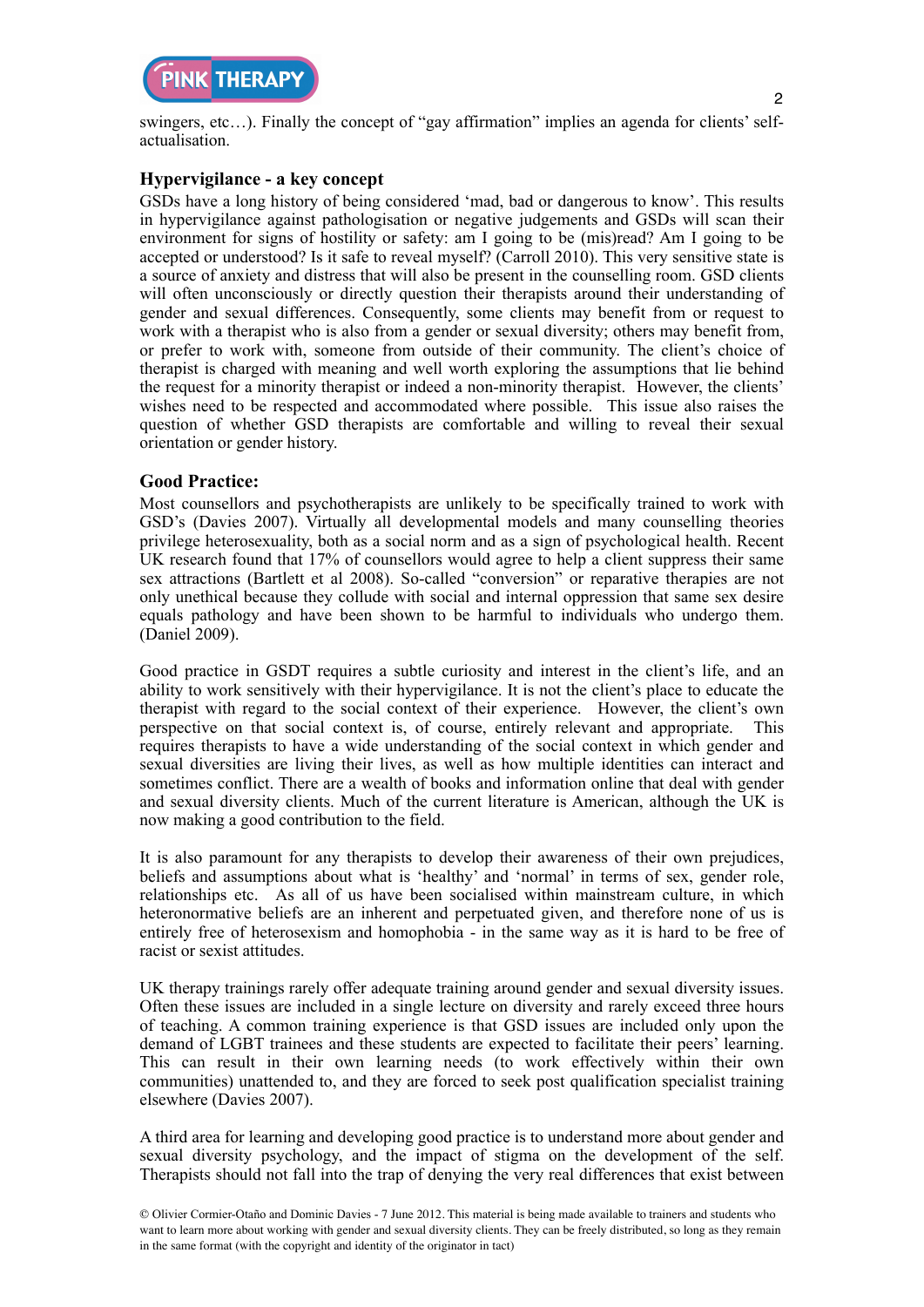## **Hypervigilance - a key concept**

GSDs have a long history of being considered 'mad, bad or dangerous to know'. This results in hypervigilance against pathologisation or negative judgements and GSDs will scan their environment for signs of hostility or safety: am I going to be (mis)read? Am I going to be accepted or understood? Is it safe to reveal myself? (Carroll 2010). This very sensitive state is a source of anxiety and distress that will also be present in the counselling room. GSD clients will often unconsciously or directly question their therapists around their understanding of gender and sexual differences. Consequently, some clients may benefit from or request to work with a therapist who is also from a gender or sexual diversity; others may benefit from, or prefer to work with, someone from outside of their community. The client's choice of therapist is charged with meaning and well worth exploring the assumptions that lie behind the request for a minority therapist or indeed a non-minority therapist. However, the clients' wishes need to be respected and accommodated where possible. This issue also raises the question of whether GSD therapists are comfortable and willing to reveal their sexual orientation or gender history.

## **Good Practice:**

Most counsellors and psychotherapists are unlikely to be specifically trained to work with GSD's (Davies 2007). Virtually all developmental models and many counselling theories privilege heterosexuality, both as a social norm and as a sign of psychological health. Recent UK research found that 17% of counsellors would agree to help a client suppress their same sex attractions (Bartlett et al 2008). So-called "conversion" or reparative therapies are not only unethical because they collude with social and internal oppression that same sex desire equals pathology and have been shown to be harmful to individuals who undergo them. (Daniel 2009).

Good practice in GSDT requires a subtle curiosity and interest in the client's life, and an ability to work sensitively with their hypervigilance. It is not the client's place to educate the therapist with regard to the social context of their experience. However, the client's own perspective on that social context is, of course, entirely relevant and appropriate. This requires therapists to have a wide understanding of the social context in which gender and sexual diversities are living their lives, as well as how multiple identities can interact and sometimes conflict. There are a wealth of books and information online that deal with gender and sexual diversity clients. Much of the current literature is American, although the UK is now making a good contribution to the field.

It is also paramount for any therapists to develop their awareness of their own prejudices, beliefs and assumptions about what is 'healthy' and 'normal' in terms of sex, gender role, relationships etc. As all of us have been socialised within mainstream culture, in which heteronormative beliefs are an inherent and perpetuated given, and therefore none of us is entirely free of heterosexism and homophobia - in the same way as it is hard to be free of racist or sexist attitudes.

UK therapy trainings rarely offer adequate training around gender and sexual diversity issues. Often these issues are included in a single lecture on diversity and rarely exceed three hours of teaching. A common training experience is that GSD issues are included only upon the demand of LGBT trainees and these students are expected to facilitate their peers' learning. This can result in their own learning needs (to work effectively within their own communities) unattended to, and they are forced to seek post qualification specialist training elsewhere (Davies 2007).

A third area for learning and developing good practice is to understand more about gender and sexual diversity psychology, and the impact of stigma on the development of the self. Therapists should not fall into the trap of denying the very real differences that exist between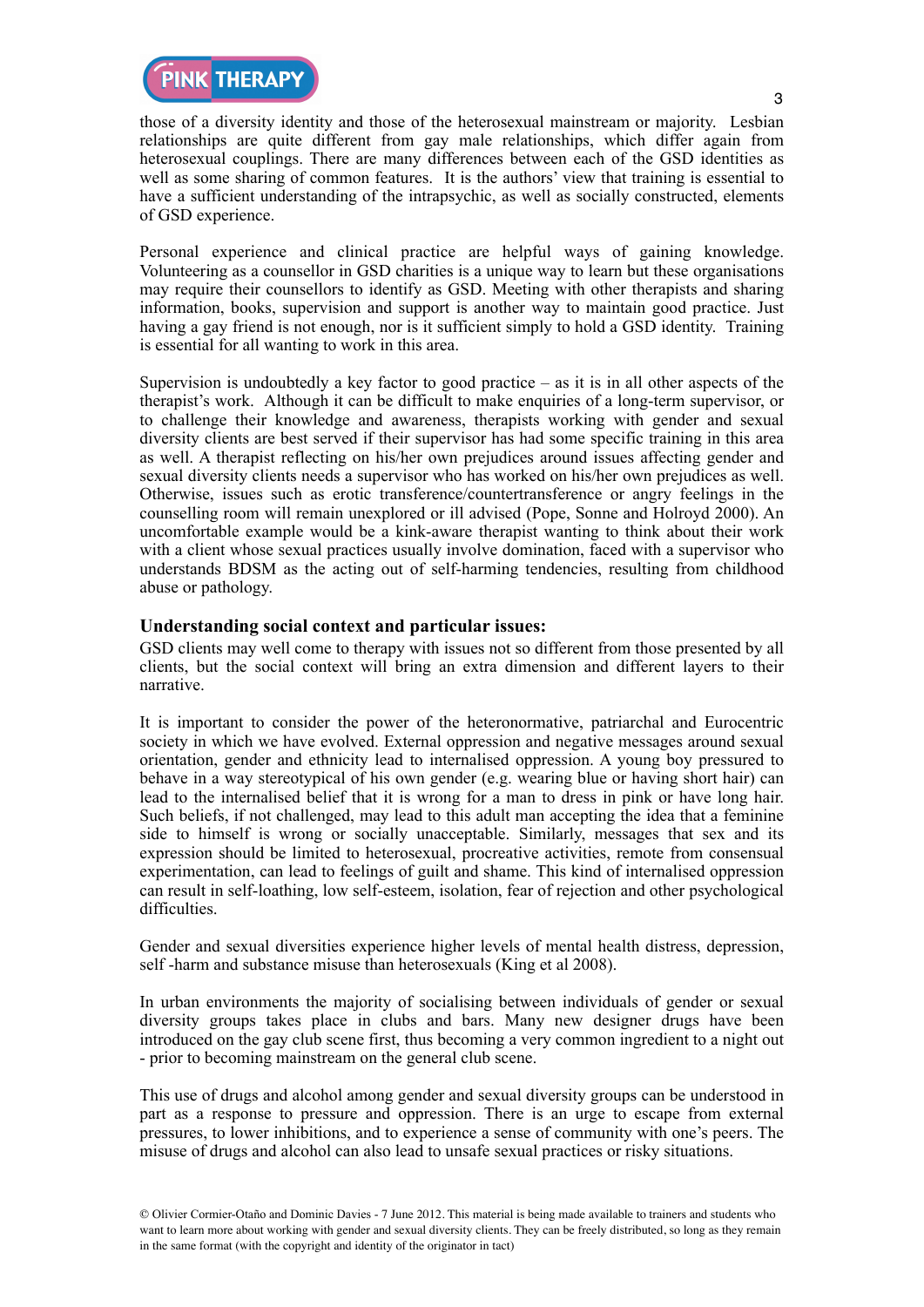Personal experience and clinical practice are helpful ways of gaining knowledge. Volunteering as a counsellor in GSD charities is a unique way to learn but these organisations may require their counsellors to identify as GSD. Meeting with other therapists and sharing information, books, supervision and support is another way to maintain good practice. Just having a gay friend is not enough, nor is it sufficient simply to hold a GSD identity. Training is essential for all wanting to work in this area.

Supervision is undoubtedly a key factor to good practice  $-$  as it is in all other aspects of the therapist's work. Although it can be difficult to make enquiries of a long-term supervisor, or to challenge their knowledge and awareness, therapists working with gender and sexual diversity clients are best served if their supervisor has had some specific training in this area as well. A therapist reflecting on his/her own prejudices around issues affecting gender and sexual diversity clients needs a supervisor who has worked on his/her own prejudices as well. Otherwise, issues such as erotic transference/countertransference or angry feelings in the counselling room will remain unexplored or ill advised (Pope, Sonne and Holroyd 2000). An uncomfortable example would be a kink-aware therapist wanting to think about their work with a client whose sexual practices usually involve domination, faced with a supervisor who understands BDSM as the acting out of self-harming tendencies, resulting from childhood abuse or pathology.

### **Understanding social context and particular issues:**

GSD clients may well come to therapy with issues not so different from those presented by all clients, but the social context will bring an extra dimension and different layers to their narrative.

It is important to consider the power of the heteronormative, patriarchal and Eurocentric society in which we have evolved. External oppression and negative messages around sexual orientation, gender and ethnicity lead to internalised oppression. A young boy pressured to behave in a way stereotypical of his own gender (e.g. wearing blue or having short hair) can lead to the internalised belief that it is wrong for a man to dress in pink or have long hair. Such beliefs, if not challenged, may lead to this adult man accepting the idea that a feminine side to himself is wrong or socially unacceptable. Similarly, messages that sex and its expression should be limited to heterosexual, procreative activities, remote from consensual experimentation, can lead to feelings of guilt and shame. This kind of internalised oppression can result in self-loathing, low self-esteem, isolation, fear of rejection and other psychological difficulties.

Gender and sexual diversities experience higher levels of mental health distress, depression, self -harm and substance misuse than heterosexuals (King et al 2008).

In urban environments the majority of socialising between individuals of gender or sexual diversity groups takes place in clubs and bars. Many new designer drugs have been introduced on the gay club scene first, thus becoming a very common ingredient to a night out - prior to becoming mainstream on the general club scene.

This use of drugs and alcohol among gender and sexual diversity groups can be understood in part as a response to pressure and oppression. There is an urge to escape from external pressures, to lower inhibitions, and to experience a sense of community with one's peers. The misuse of drugs and alcohol can also lead to unsafe sexual practices or risky situations.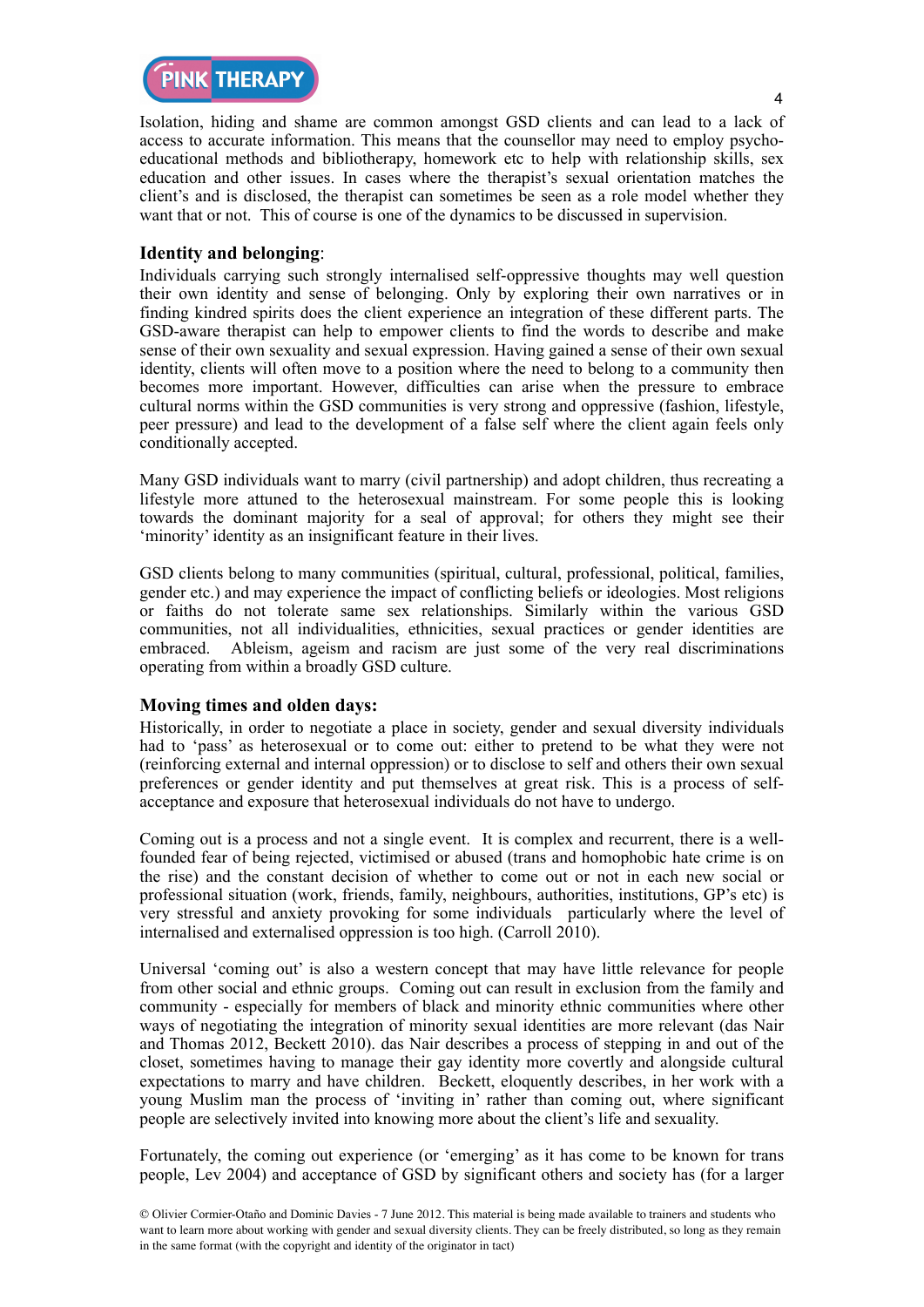Isolation, hiding and shame are common amongst GSD clients and can lead to a lack of access to accurate information. This means that the counsellor may need to employ psychoeducational methods and bibliotherapy, homework etc to help with relationship skills, sex education and other issues. In cases where the therapist's sexual orientation matches the client's and is disclosed, the therapist can sometimes be seen as a role model whether they want that or not. This of course is one of the dynamics to be discussed in supervision.

## **Identity and belonging**:

Individuals carrying such strongly internalised self-oppressive thoughts may well question their own identity and sense of belonging. Only by exploring their own narratives or in finding kindred spirits does the client experience an integration of these different parts. The GSD-aware therapist can help to empower clients to find the words to describe and make sense of their own sexuality and sexual expression. Having gained a sense of their own sexual identity, clients will often move to a position where the need to belong to a community then becomes more important. However, difficulties can arise when the pressure to embrace cultural norms within the GSD communities is very strong and oppressive (fashion, lifestyle, peer pressure) and lead to the development of a false self where the client again feels only conditionally accepted.

Many GSD individuals want to marry (civil partnership) and adopt children, thus recreating a lifestyle more attuned to the heterosexual mainstream. For some people this is looking towards the dominant majority for a seal of approval; for others they might see their 'minority' identity as an insignificant feature in their lives.

GSD clients belong to many communities (spiritual, cultural, professional, political, families, gender etc.) and may experience the impact of conflicting beliefs or ideologies. Most religions or faiths do not tolerate same sex relationships. Similarly within the various GSD communities, not all individualities, ethnicities, sexual practices or gender identities are embraced. Ableism, ageism and racism are just some of the very real discriminations operating from within a broadly GSD culture.

## **Moving times and olden days:**

Historically, in order to negotiate a place in society, gender and sexual diversity individuals had to 'pass' as heterosexual or to come out: either to pretend to be what they were not (reinforcing external and internal oppression) or to disclose to self and others their own sexual preferences or gender identity and put themselves at great risk. This is a process of selfacceptance and exposure that heterosexual individuals do not have to undergo.

Coming out is a process and not a single event. It is complex and recurrent, there is a wellfounded fear of being rejected, victimised or abused (trans and homophobic hate crime is on the rise) and the constant decision of whether to come out or not in each new social or professional situation (work, friends, family, neighbours, authorities, institutions, GP's etc) is very stressful and anxiety provoking for some individuals particularly where the level of internalised and externalised oppression is too high. (Carroll 2010).

Universal 'coming out' is also a western concept that may have little relevance for people from other social and ethnic groups. Coming out can result in exclusion from the family and community - especially for members of black and minority ethnic communities where other ways of negotiating the integration of minority sexual identities are more relevant (das Nair and Thomas 2012, Beckett 2010). das Nair describes a process of stepping in and out of the closet, sometimes having to manage their gay identity more covertly and alongside cultural expectations to marry and have children. Beckett, eloquently describes, in her work with a young Muslim man the process of 'inviting in' rather than coming out, where significant people are selectively invited into knowing more about the client's life and sexuality.

Fortunately, the coming out experience (or 'emerging' as it has come to be known for trans people, Lev 2004) and acceptance of GSD by significant others and society has (for a larger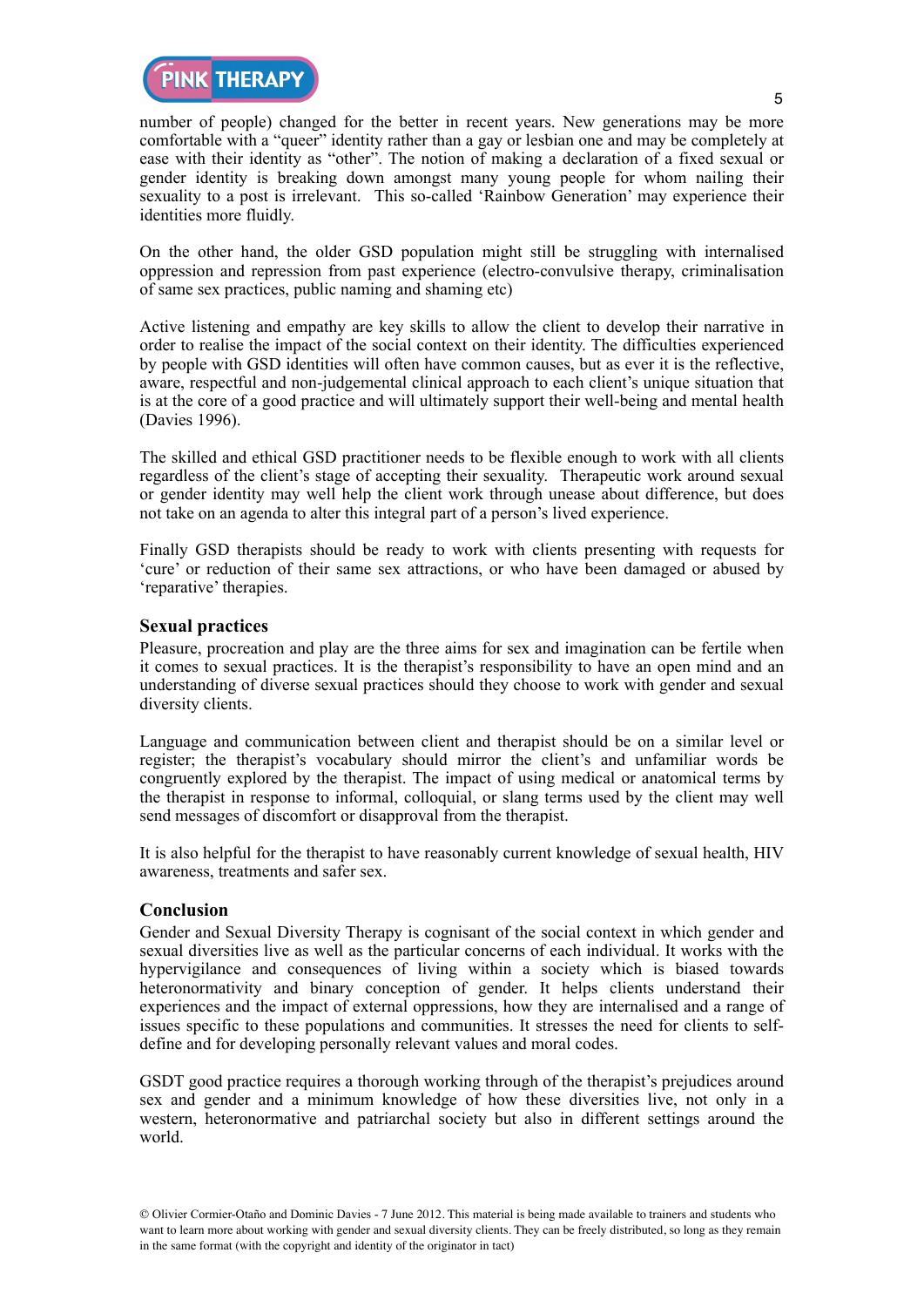number of people) changed for the better in recent years. New generations may be more comfortable with a "queer" identity rather than a gay or lesbian one and may be completely at ease with their identity as "other". The notion of making a declaration of a fixed sexual or gender identity is breaking down amongst many young people for whom nailing their sexuality to a post is irrelevant. This so-called 'Rainbow Generation' may experience their identities more fluidly.

On the other hand, the older GSD population might still be struggling with internalised oppression and repression from past experience (electro-convulsive therapy, criminalisation of same sex practices, public naming and shaming etc)

Active listening and empathy are key skills to allow the client to develop their narrative in order to realise the impact of the social context on their identity. The difficulties experienced by people with GSD identities will often have common causes, but as ever it is the reflective, aware, respectful and non-judgemental clinical approach to each client's unique situation that is at the core of a good practice and will ultimately support their well-being and mental health (Davies 1996).

The skilled and ethical GSD practitioner needs to be flexible enough to work with all clients regardless of the client's stage of accepting their sexuality. Therapeutic work around sexual or gender identity may well help the client work through unease about difference, but does not take on an agenda to alter this integral part of a person's lived experience.

Finally GSD therapists should be ready to work with clients presenting with requests for 'cure' or reduction of their same sex attractions, or who have been damaged or abused by 'reparative' therapies.

#### **Sexual practices**

Pleasure, procreation and play are the three aims for sex and imagination can be fertile when it comes to sexual practices. It is the therapist's responsibility to have an open mind and an understanding of diverse sexual practices should they choose to work with gender and sexual diversity clients.

Language and communication between client and therapist should be on a similar level or register; the therapist's vocabulary should mirror the client's and unfamiliar words be congruently explored by the therapist. The impact of using medical or anatomical terms by the therapist in response to informal, colloquial, or slang terms used by the client may well send messages of discomfort or disapproval from the therapist.

It is also helpful for the therapist to have reasonably current knowledge of sexual health, HIV awareness, treatments and safer sex.

#### **Conclusion**

Gender and Sexual Diversity Therapy is cognisant of the social context in which gender and sexual diversities live as well as the particular concerns of each individual. It works with the hypervigilance and consequences of living within a society which is biased towards heteronormativity and binary conception of gender. It helps clients understand their experiences and the impact of external oppressions, how they are internalised and a range of issues specific to these populations and communities. It stresses the need for clients to selfdefine and for developing personally relevant values and moral codes.

GSDT good practice requires a thorough working through of the therapist's prejudices around sex and gender and a minimum knowledge of how these diversities live, not only in a western, heteronormative and patriarchal society but also in different settings around the world.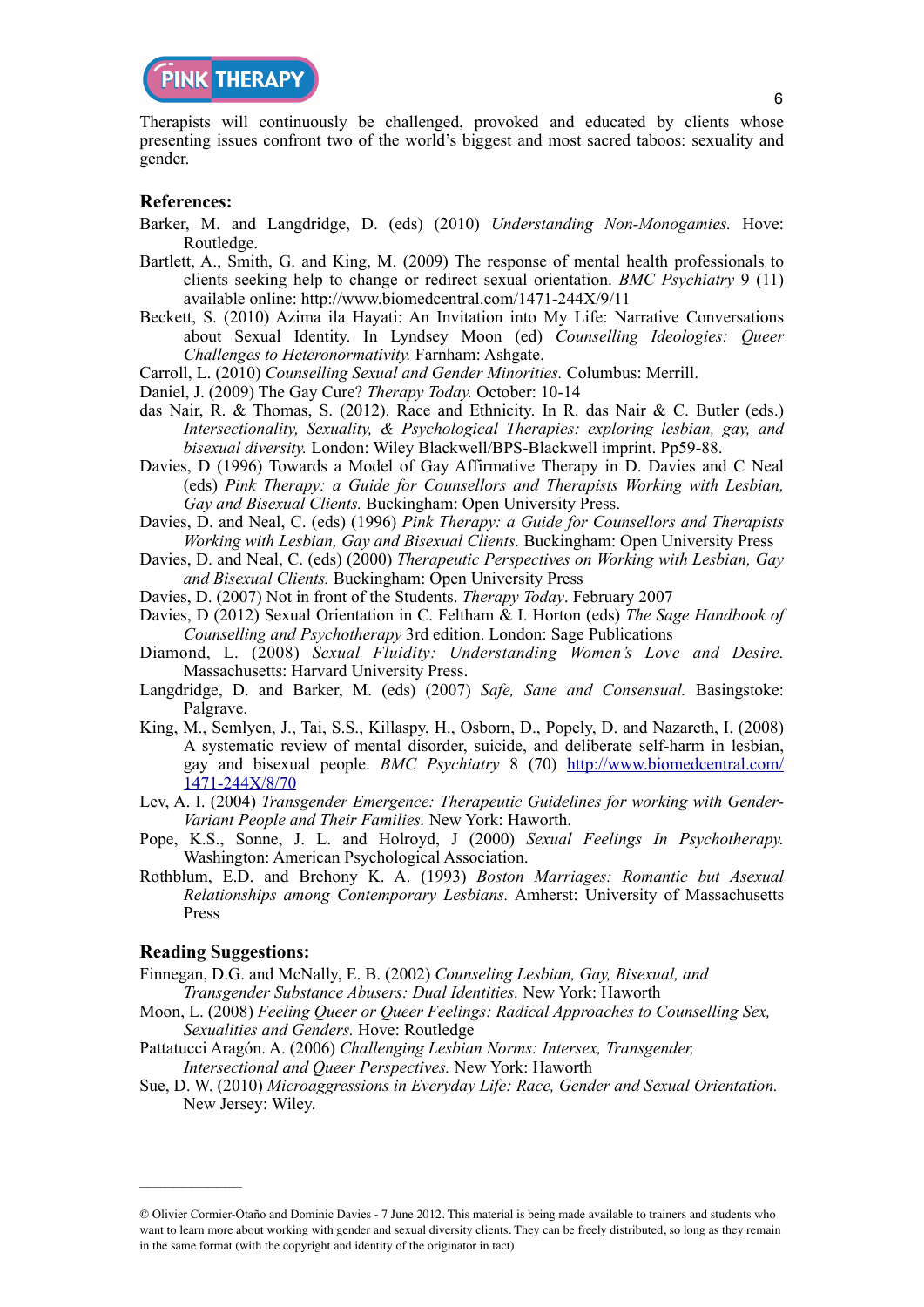Therapists will continuously be challenged, provoked and educated by clients whose presenting issues confront two of the world's biggest and most sacred taboos: sexuality and gender.

#### **References:**

- Barker, M. and Langdridge, D. (eds) (2010) *Understanding Non-Monogamies.* Hove: Routledge.
- Bartlett, A., Smith, G. and King, M. (2009) The response of mental health professionals to clients seeking help to change or redirect sexual orientation. *BMC Psychiatry* 9 (11) available online:<http://www.biomedcentral.com/1471-244X/9/11>
- Beckett, S. (2010) Azima ila Hayati: An Invitation into My Life: Narrative Conversations about Sexual Identity. In Lyndsey Moon (ed) *Counselling Ideologies: Queer Challenges to Heteronormativity.* Farnham: Ashgate.
- Carroll, L. (2010) *Counselling Sexual and Gender Minorities.* Columbus: Merrill.
- Daniel, J. (2009) The Gay Cure? *Therapy Today.* October: 10-14
- das Nair, R. & Thomas, S. (2012). Race and Ethnicity. In R. das Nair & C. Butler (eds.) *Intersectionality, Sexuality, & Psychological Therapies: exploring lesbian, gay, and bisexual diversity.* London: Wiley Blackwell/BPS-Blackwell imprint. Pp59-88.
- Davies, D (1996) Towards a Model of Gay Affirmative Therapy in D. Davies and C Neal (eds) *Pink Therapy: a Guide for Counsellors and Therapists Working with Lesbian, Gay and Bisexual Clients.* Buckingham: Open University Press.
- Davies, D. and Neal, C. (eds) (1996) *Pink Therapy: a Guide for Counsellors and Therapists Working with Lesbian, Gay and Bisexual Clients.* Buckingham: Open University Press
- Davies, D. and Neal, C. (eds) (2000) *Therapeutic Perspectives on Working with Lesbian, Gay and Bisexual Clients.* Buckingham: Open University Press
- Davies, D. (2007) Not in front of the Students. *Therapy Today*. February 2007
- Davies, D (2012) Sexual Orientation in C. Feltham & I. Horton (eds) *The Sage Handbook of Counselling and Psychotherapy* 3rd edition. London: Sage Publications
- Diamond, L. (2008) *Sexual Fluidity: Understanding Women's Love and Desire.* Massachusetts: Harvard University Press.
- Langdridge, D. and Barker, M. (eds) (2007) *Safe, Sane and Consensual.* Basingstoke: Palgrave.
- King, M., Semlyen, J., Tai, S.S., Killaspy, H., Osborn, D., Popely, D. and Nazareth, I. (2008) A systematic review of mental disorder, suicide, and deliberate self-harm in lesbian, gay and bisexual people. *BMC Psychiatry* 8 (70) [http://www.biomedcentral.com/](http://www.biomedcentral.com/1471-244X/8/70) [1471-244X/8/70](http://www.biomedcentral.com/1471-244X/8/70)
- Lev, A. I. (2004) *Transgender Emergence: Therapeutic Guidelines for working with Gender-Variant People and Their Families.* New York: Haworth.
- Pope, K.S., Sonne, J. L. and Holroyd, J (2000) *Sexual Feelings In Psychotherapy.* Washington: American Psychological Association.
- Rothblum, E.D. and Brehony K. A. (1993) *Boston Marriages: Romantic but Asexual Relationships among Contemporary Lesbians.* Amherst: University of Massachusetts Press

#### **Reading Suggestions:**

 $\mathcal{L}_\text{max}$ 

- Finnegan, D.G. and McNally, E. B. (2002) *Counseling Lesbian, Gay, Bisexual, and Transgender Substance Abusers: Dual Identities.* New York: Haworth
- Moon, L. (2008) *Feeling Queer or Queer Feelings: Radical Approaches to Counselling Sex, Sexualities and Genders.* Hove: Routledge
- Pattatucci Aragón. A. (2006) *Challenging Lesbian Norms: Intersex, Transgender, Intersectional and Queer Perspectives.* New York: Haworth
- Sue, D. W. (2010) *Microaggressions in Everyday Life: Race, Gender and Sexual Orientation.* New Jersey: Wiley.

<sup>©</sup> Olivier Cormier-Otaño and Dominic Davies - 7 June 2012. This material is being made available to trainers and students who want to learn more about working with gender and sexual diversity clients. They can be freely distributed, so long as they remain in the same format (with the copyright and identity of the originator in tact)